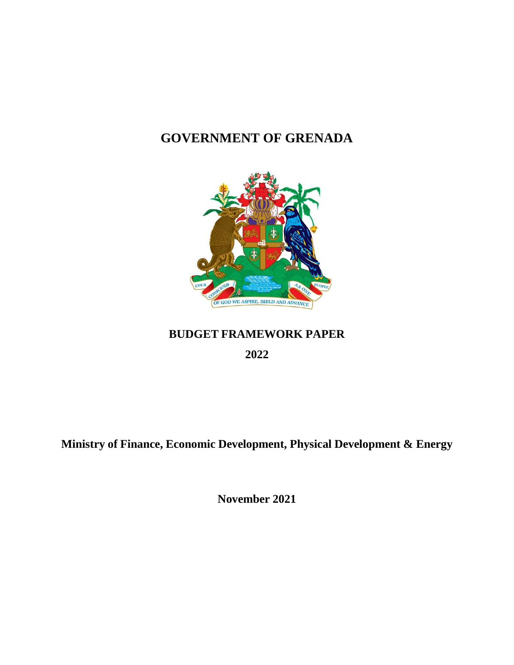# **GOVERNMENT OF GRENADA**



### **BUDGET FRAMEWORK PAPER**

**2022**

**Ministry of Finance, Economic Development, Physical Development & Energy**

**November 2021**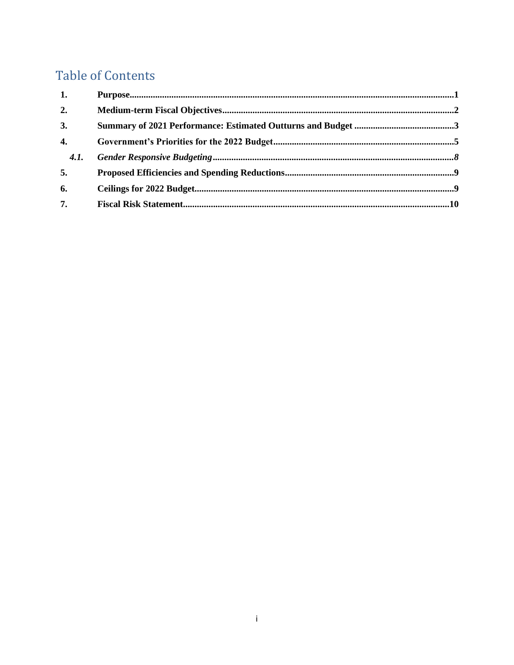## **Table of Contents**

| 1.               |  |
|------------------|--|
| 2.               |  |
| 3.               |  |
| $\overline{4}$ . |  |
| <b>4.1.</b>      |  |
| 5.               |  |
| 6.               |  |
| 7.               |  |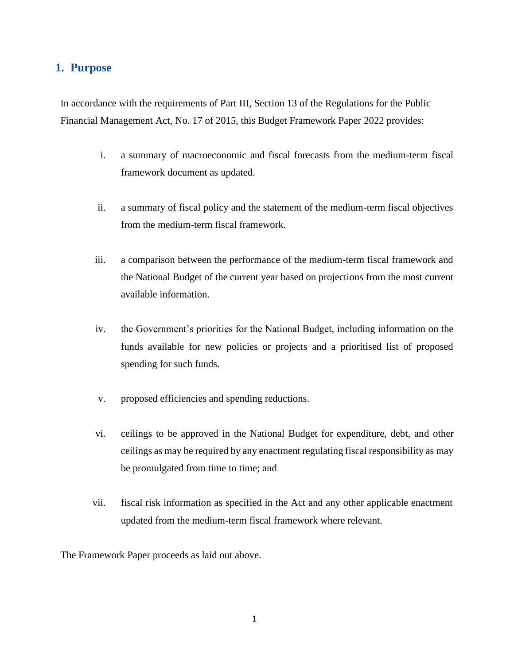#### <span id="page-2-0"></span>**1. Purpose**

In accordance with the requirements of Part III, Section 13 of the Regulations for the Public Financial Management Act, No. 17 of 2015, this Budget Framework Paper 2022 provides:

- i. a summary of macroeconomic and fiscal forecasts from the medium-term fiscal framework document as updated.
- ii. a summary of fiscal policy and the statement of the medium-term fiscal objectives from the medium-term fiscal framework.
- iii. a comparison between the performance of the medium-term fiscal framework and the National Budget of the current year based on projections from the most current available information.
- iv. the Government's priorities for the National Budget, including information on the funds available for new policies or projects and a prioritised list of proposed spending for such funds.
- v. proposed efficiencies and spending reductions.
- vi. ceilings to be approved in the National Budget for expenditure, debt, and other ceilings as may be required by any enactment regulating fiscal responsibility as may be promulgated from time to time; and
- vii. fiscal risk information as specified in the Act and any other applicable enactment updated from the medium-term fiscal framework where relevant.

The Framework Paper proceeds as laid out above.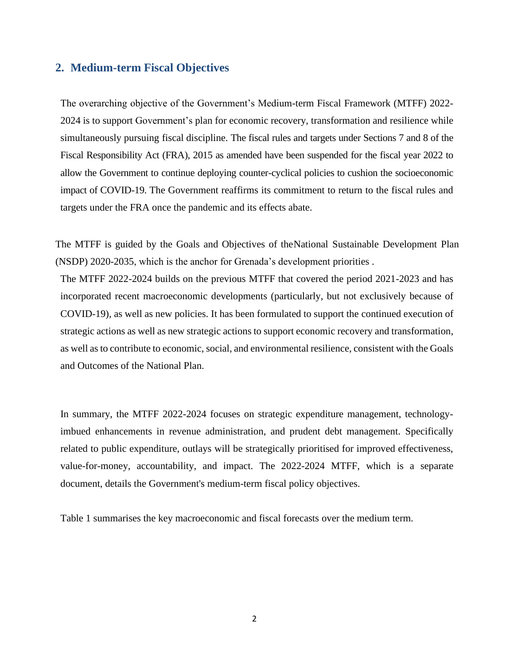#### <span id="page-3-0"></span>**2. Medium-term Fiscal Objectives**

The overarching objective of the Government's Medium-term Fiscal Framework (MTFF) 2022- 2024 is to support Government's plan for economic recovery, transformation and resilience while simultaneously pursuing fiscal discipline. The fiscal rules and targets under Sections 7 and 8 of the Fiscal Responsibility Act (FRA), 2015 as amended have been suspended for the fiscal year 2022 to allow the Government to continue deploying counter-cyclical policies to cushion the socioeconomic impact of COVID-19. The Government reaffirms its commitment to return to the fiscal rules and targets under the FRA once the pandemic and its effects abate.

The MTFF is guided by the Goals and Objectives of theNational Sustainable Development Plan (NSDP) 2020-2035, which is the anchor for Grenada's development priorities .

The MTFF 2022-2024 builds on the previous MTFF that covered the period 2021-2023 and has incorporated recent macroeconomic developments (particularly, but not exclusively because of COVID-19), as well as new policies. It has been formulated to support the continued execution of strategic actions as well as new strategic actions to support economic recovery and transformation, as well as to contribute to economic, social, and environmental resilience, consistent with the Goals and Outcomes of the National Plan.

In summary, the MTFF 2022-2024 focuses on strategic expenditure management, technologyimbued enhancements in revenue administration, and prudent debt management. Specifically related to public expenditure, outlays will be strategically prioritised for improved effectiveness, value-for-money, accountability, and impact. The 2022-2024 MTFF, which is a separate document, details the Government's medium-term fiscal policy objectives.

Table 1 summarises the key macroeconomic and fiscal forecasts over the medium term.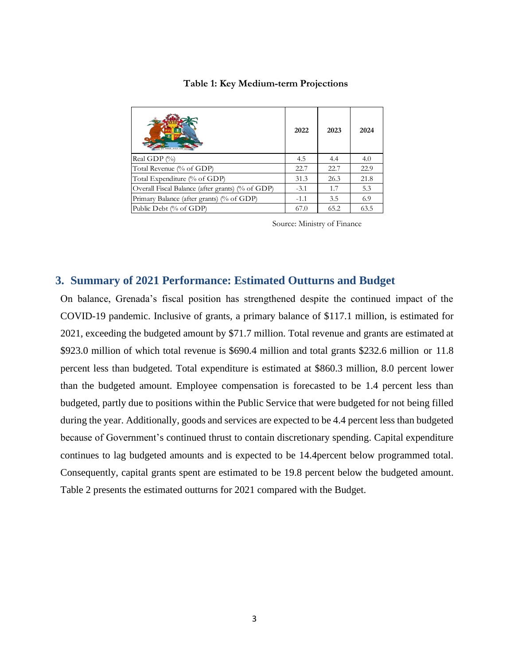|                                                  | 2022   | 2023 | 2024 |
|--------------------------------------------------|--------|------|------|
| Real GDP (%)                                     | 4.5    | 4.4  | 4.0  |
| Total Revenue (% of GDP)                         | 22.7   | 22.7 | 22.9 |
| Total Expenditure (% of GDP)                     | 31.3   | 26.3 | 21.8 |
| Overall Fiscal Balance (after grants) (% of GDP) | $-3.1$ | 1.7  | 5.3  |
| Primary Balance (after grants) (% of GDP)        | $-1.1$ | 3.5  | 6.9  |
| Public Debt (% of GDP)                           | 67.0   | 65.2 | 63.5 |

#### **Table 1: Key Medium-term Projections**

Source: Ministry of Finance

#### <span id="page-4-0"></span>**3. Summary of 2021 Performance: Estimated Outturns and Budget**

On balance, Grenada's fiscal position has strengthened despite the continued impact of the COVID-19 pandemic. Inclusive of grants, a primary balance of \$117.1 million, is estimated for 2021, exceeding the budgeted amount by \$71.7 million. Total revenue and grants are estimated at \$923.0 million of which total revenue is \$690.4 million and total grants \$232.6 million or 11.8 percent less than budgeted. Total expenditure is estimated at \$860.3 million, 8.0 percent lower than the budgeted amount. Employee compensation is forecasted to be 1.4 percent less than budgeted, partly due to positions within the Public Service that were budgeted for not being filled during the year. Additionally, goods and services are expected to be 4.4 percent less than budgeted because of Government's continued thrust to contain discretionary spending. Capital expenditure continues to lag budgeted amounts and is expected to be 14.4percent below programmed total. Consequently, capital grants spent are estimated to be 19.8 percent below the budgeted amount. Table 2 presents the estimated outturns for 2021 compared with the Budget.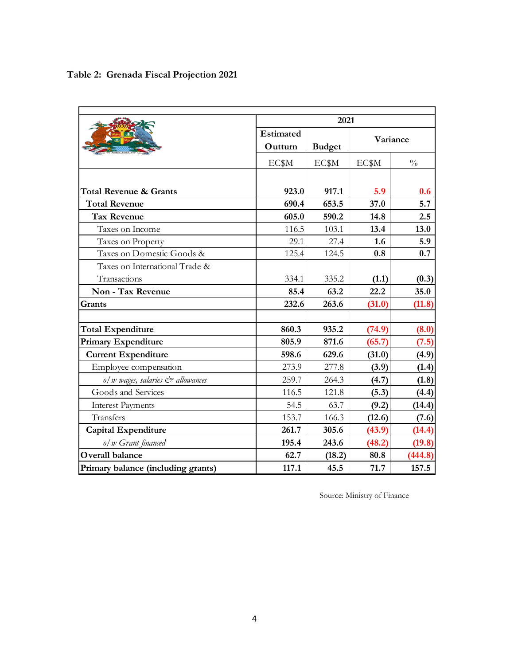|                                    | 2021             |               |        |               |
|------------------------------------|------------------|---------------|--------|---------------|
|                                    | <b>Estimated</b> |               |        | Variance      |
|                                    | Outturn          | <b>Budget</b> |        |               |
|                                    | EC\$M            | EC\$M         | EC\$M  | $\frac{0}{0}$ |
|                                    |                  |               |        |               |
| Total Revenue & Grants             | 923.0            | 917.1         | 5.9    | 0.6           |
| <b>Total Revenue</b>               | 690.4            | 653.5         | 37.0   | 5.7           |
| <b>Tax Revenue</b>                 | 605.0            | 590.2         | 14.8   | 2.5           |
| Taxes on Income                    | 116.5            | 103.1         | 13.4   | 13.0          |
| Taxes on Property                  | 29.1             | 27.4          | 1.6    | 5.9           |
| Taxes on Domestic Goods &          | 125.4            | 124.5         | 0.8    | 0.7           |
| Taxes on International Trade &     |                  |               |        |               |
| Transactions                       | 334.1            | 335.2         | (1.1)  | (0.3)         |
| Non - Tax Revenue                  | 85.4             | 63.2          | 22.2   | 35.0          |
| Grants                             | 232.6            | 263.6         | (31.0) | (11.8)        |
|                                    |                  |               |        |               |
| <b>Total Expenditure</b>           | 860.3            | 935.2         | (74.9) | (8.0)         |
| <b>Primary Expenditure</b>         | 805.9            | 871.6         | (65.7) | (7.5)         |
| <b>Current Expenditure</b>         | 598.6            | 629.6         | (31.0) | (4.9)         |
| Employee compensation              | 273.9            | 277.8         | (3.9)  | (1.4)         |
| o/w wages, salaries & allowances   | 259.7            | 264.3         | (4.7)  | (1.8)         |
| Goods and Services                 | 116.5            | 121.8         | (5.3)  | (4.4)         |
| <b>Interest Payments</b>           | 54.5             | 63.7          | (9.2)  | (14.4)        |
| Transfers                          | 153.7            | 166.3         | (12.6) | (7.6)         |
| <b>Capital Expenditure</b>         | 261.7            | 305.6         | (43.9) | (14.4)        |
| o/w Grant financed                 | 195.4            | 243.6         | (48.2) | (19.8)        |
| <b>Overall balance</b>             | 62.7             | (18.2)        | 80.8   | (444.8)       |
| Primary balance (including grants) | 117.1            | 45.5          | 71.7   | 157.5         |

Source: Ministry of Finance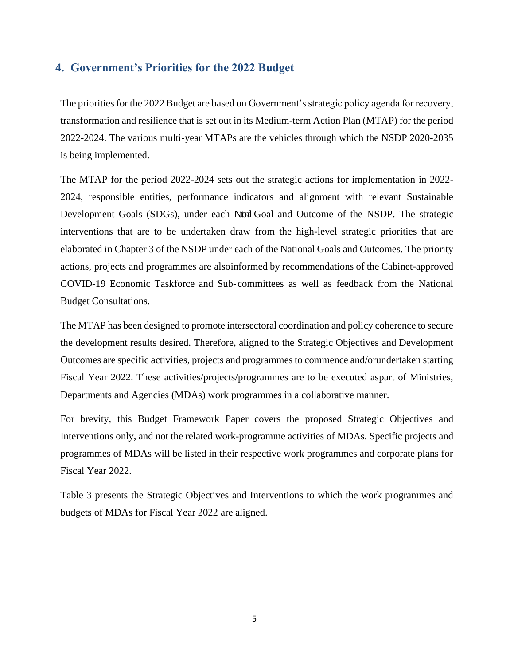#### <span id="page-6-0"></span>**4. Government's Priorities for the 2022 Budget**

The priorities for the 2022 Budget are based on Government's strategic policy agenda for recovery, transformation and resilience that is set out in its Medium-term Action Plan (MTAP) for the period 2022-2024. The various multi-year MTAPs are the vehicles through which the NSDP 2020-2035 is being implemented.

The MTAP for the period 2022-2024 sets out the strategic actions for implementation in 2022- 2024, responsible entities, performance indicators and alignment with relevant Sustainable Development Goals (SDGs), under each National Goal and Outcome of the NSDP. The strategic interventions that are to be undertaken draw from the high-level strategic priorities that are elaborated in Chapter 3 of the NSDP under each of the National Goals and Outcomes. The priority actions, projects and programmes are alsoinformed by recommendations of the Cabinet-approved COVID-19 Economic Taskforce and Sub-committees as well as feedback from the National Budget Consultations.

The MTAP has been designed to promote intersectoral coordination and policy coherence to secure the development results desired. Therefore, aligned to the Strategic Objectives and Development Outcomes are specific activities, projects and programmes to commence and/orundertaken starting Fiscal Year 2022. These activities/projects/programmes are to be executed aspart of Ministries, Departments and Agencies (MDAs) work programmes in a collaborative manner.

For brevity, this Budget Framework Paper covers the proposed Strategic Objectives and Interventions only, and not the related work-programme activities of MDAs. Specific projects and programmes of MDAs will be listed in their respective work programmes and corporate plans for Fiscal Year 2022.

Table 3 presents the Strategic Objectives and Interventions to which the work programmes and budgets of MDAs for Fiscal Year 2022 are aligned.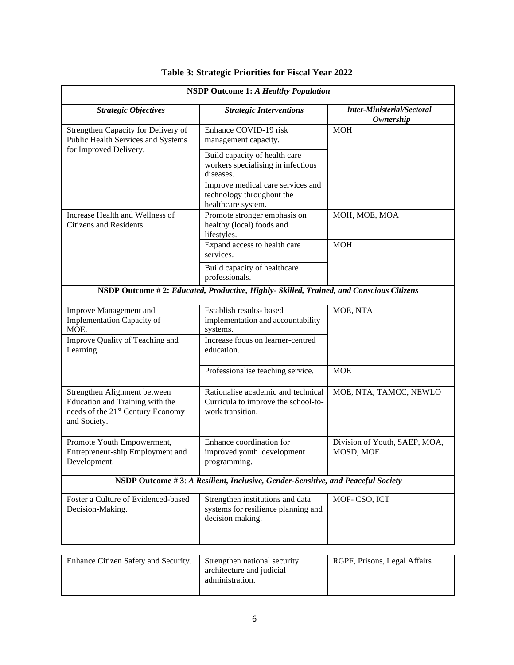| <b>NSDP Outcome 1: A Healthy Population</b>                                                                                      |                                                                                               |                                                |  |
|----------------------------------------------------------------------------------------------------------------------------------|-----------------------------------------------------------------------------------------------|------------------------------------------------|--|
| <b>Strategic Objectives</b>                                                                                                      | <b>Strategic Interventions</b>                                                                | <b>Inter-Ministerial/Sectoral</b><br>Ownership |  |
| Strengthen Capacity for Delivery of<br>Public Health Services and Systems                                                        | Enhance COVID-19 risk<br>management capacity.                                                 | <b>MOH</b>                                     |  |
| for Improved Delivery.                                                                                                           | Build capacity of health care<br>workers specialising in infectious<br>diseases.              |                                                |  |
|                                                                                                                                  | Improve medical care services and<br>technology throughout the<br>healthcare system.          |                                                |  |
| Increase Health and Wellness of<br>Citizens and Residents.                                                                       | Promote stronger emphasis on<br>healthy (local) foods and<br>lifestyles.                      | MOH, MOE, MOA                                  |  |
|                                                                                                                                  | Expand access to health care<br>services.                                                     | <b>MOH</b>                                     |  |
|                                                                                                                                  | Build capacity of healthcare<br>professionals.                                                |                                                |  |
|                                                                                                                                  | NSDP Outcome #2: Educated, Productive, Highly- Skilled, Trained, and Conscious Citizens       |                                                |  |
| Improve Management and<br>Implementation Capacity of<br>MOE.                                                                     | Establish results- based<br>implementation and accountability<br>systems.                     | MOE, NTA                                       |  |
| Improve Quality of Teaching and<br>Learning.                                                                                     | Increase focus on learner-centred<br>education.                                               |                                                |  |
|                                                                                                                                  | Professionalise teaching service.                                                             | <b>MOE</b>                                     |  |
| Strengthen Alignment between<br>Education and Training with the<br>needs of the 21 <sup>st</sup> Century Economy<br>and Society. | Rationalise academic and technical<br>Curricula to improve the school-to-<br>work transition. | MOE, NTA, TAMCC, NEWLO                         |  |
| Promote Youth Empowerment,<br>Entrepreneur-ship Employment and<br>Development.                                                   | Enhance coordination for<br>improved youth development<br>programming.                        | Division of Youth, SAEP, MOA,<br>MOSD, MOE     |  |
| NSDP Outcome #3: A Resilient, Inclusive, Gender-Sensitive, and Peaceful Society                                                  |                                                                                               |                                                |  |
| Foster a Culture of Evidenced-based<br>Decision-Making.                                                                          | Strengthen institutions and data<br>systems for resilience planning and<br>decision making.   | MOF-CSO, ICT                                   |  |
|                                                                                                                                  |                                                                                               | $DCDE$ D.:                                     |  |

### **Table 3: Strategic Priorities for Fiscal Year 2022**

| Enhance Citizen Safety and Security. | Strengthen national security<br>architecture and judicial<br>administration. | RGPF, Prisons, Legal Affairs |
|--------------------------------------|------------------------------------------------------------------------------|------------------------------|
|--------------------------------------|------------------------------------------------------------------------------|------------------------------|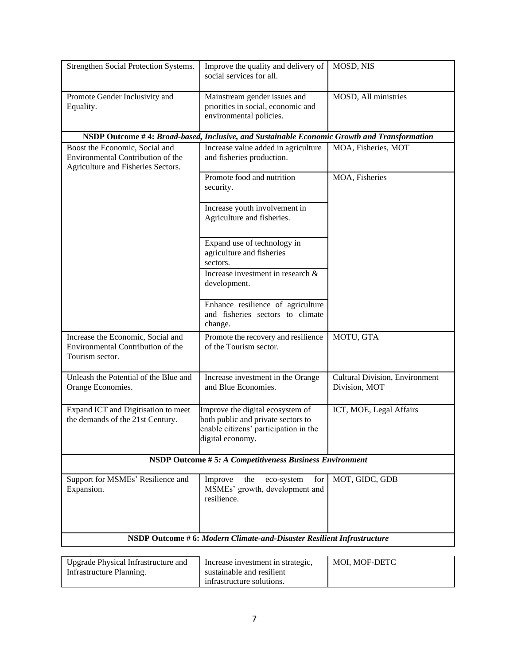| Strengthen Social Protection Systems.                                                                     | Improve the quality and delivery of<br>social services for all.                                                                     | MOSD, NIS                                              |  |
|-----------------------------------------------------------------------------------------------------------|-------------------------------------------------------------------------------------------------------------------------------------|--------------------------------------------------------|--|
| Promote Gender Inclusivity and<br>Equality.                                                               | Mainstream gender issues and<br>priorities in social, economic and<br>environmental policies.                                       | MOSD, All ministries                                   |  |
|                                                                                                           | NSDP Outcome #4: Broad-based, Inclusive, and Sustainable Economic Growth and Transformation                                         |                                                        |  |
| Boost the Economic, Social and<br>Environmental Contribution of the<br>Agriculture and Fisheries Sectors. | Increase value added in agriculture<br>and fisheries production.                                                                    | MOA, Fisheries, MOT                                    |  |
|                                                                                                           | Promote food and nutrition<br>security.                                                                                             | MOA, Fisheries                                         |  |
|                                                                                                           | Increase youth involvement in<br>Agriculture and fisheries.                                                                         |                                                        |  |
|                                                                                                           | Expand use of technology in<br>agriculture and fisheries<br>sectors.                                                                |                                                        |  |
|                                                                                                           | Increase investment in research &<br>development.                                                                                   |                                                        |  |
|                                                                                                           | Enhance resilience of agriculture<br>and fisheries sectors to climate<br>change.                                                    |                                                        |  |
| Increase the Economic, Social and<br>Environmental Contribution of the<br>Tourism sector.                 | Promote the recovery and resilience<br>of the Tourism sector.                                                                       | MOTU, GTA                                              |  |
| Unleash the Potential of the Blue and<br>Orange Economies.                                                | Increase investment in the Orange<br>and Blue Economies.                                                                            | <b>Cultural Division, Environment</b><br>Division, MOT |  |
| Expand ICT and Digitisation to meet<br>the demands of the 21st Century.                                   | Improve the digital ecosystem of<br>both public and private sectors to<br>enable citizens' participation in the<br>digital economy. | ICT, MOE, Legal Affairs                                |  |
| NSDP Outcome #5: A Competitiveness Business Environment                                                   |                                                                                                                                     |                                                        |  |
| Support for MSMEs' Resilience and<br>Expansion.                                                           | the<br>Improve<br>eco-system<br>for<br>MSMEs' growth, development and<br>resilience.                                                | MOT, GIDC, GDB                                         |  |
| NSDP Outcome #6: Modern Climate-and-Disaster Resilient Infrastructure                                     |                                                                                                                                     |                                                        |  |
|                                                                                                           |                                                                                                                                     |                                                        |  |

| Upgrade Physical Infrastructure and | Increase investment in strategic, | MOI. MOF-DETC |
|-------------------------------------|-----------------------------------|---------------|
| Infrastructure Planning.            | sustainable and resilient         |               |
|                                     | infrastructure solutions.         |               |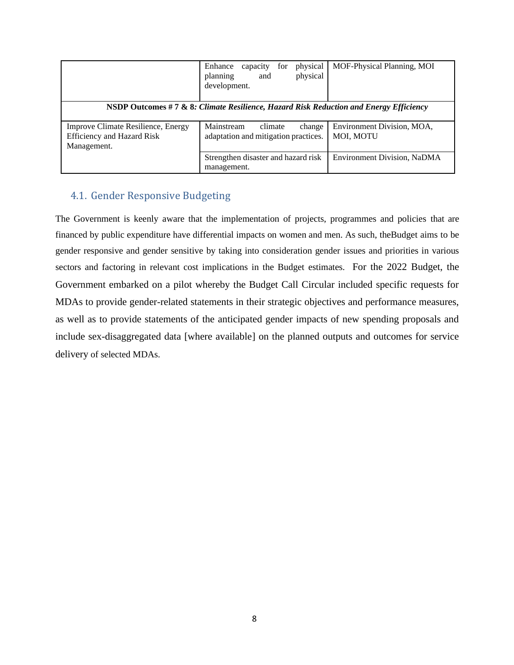|                                                                                        | physical<br>Enhance<br>capacity<br>for<br>physical<br>planning<br>and<br>development. | MOF-Physical Planning, MOI              |  |  |
|----------------------------------------------------------------------------------------|---------------------------------------------------------------------------------------|-----------------------------------------|--|--|
| NSDP Outcomes #7 & 8: Climate Resilience, Hazard Risk Reduction and Energy Efficiency  |                                                                                       |                                         |  |  |
| Improve Climate Resilience, Energy<br><b>Efficiency and Hazard Risk</b><br>Management. | Mainstream<br>climate<br>change<br>adaptation and mitigation practices.               | Environment Division, MOA.<br>MOI, MOTU |  |  |
|                                                                                        | Strengthen disaster and hazard risk<br>management.                                    | Environment Division, NaDMA             |  |  |

#### <span id="page-9-0"></span>4.1. Gender Responsive Budgeting

The Government is keenly aware that the implementation of projects, programmes and policies that are financed by public expenditure have differential impacts on women and men. As such, theBudget aims to be gender responsive and gender sensitive by taking into consideration gender issues and priorities in various sectors and factoring in relevant cost implications in the Budget estimates.For the 2022 Budget, the Government embarked on a pilot whereby the Budget Call Circular included specific requests for MDAs to provide gender-related statements in their strategic objectives and performance measures, as well as to provide statements of the anticipated gender impacts of new spending proposals and include sex-disaggregated data [where available] on the planned outputs and outcomes for service delivery of selected MDAs.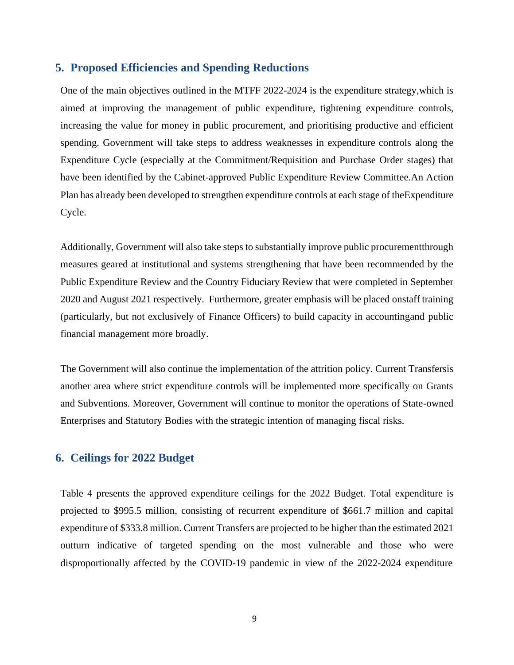#### <span id="page-10-0"></span>**5. Proposed Efficiencies and Spending Reductions**

One of the main objectives outlined in the MTFF 2022-2024 is the expenditure strategy,which is aimed at improving the management of public expenditure, tightening expenditure controls, increasing the value for money in public procurement, and prioritising productive and efficient spending. Government will take steps to address weaknesses in expenditure controls along the Expenditure Cycle (especially at the Commitment/Requisition and Purchase Order stages) that have been identified by the Cabinet-approved Public Expenditure Review Committee.An Action Plan has already been developed to strengthen expenditure controls at each stage of theExpenditure Cycle.

Additionally, Government will also take steps to substantially improve public procurementthrough measures geared at institutional and systems strengthening that have been recommended by the Public Expenditure Review and the Country Fiduciary Review that were completed in September 2020 and August 2021 respectively. Furthermore, greater emphasis will be placed onstaff training (particularly, but not exclusively of Finance Officers) to build capacity in accountingand public financial management more broadly.

The Government will also continue the implementation of the attrition policy. Current Transfersis another area where strict expenditure controls will be implemented more specifically on Grants and Subventions. Moreover, Government will continue to monitor the operations of State-owned Enterprises and Statutory Bodies with the strategic intention of managing fiscal risks.

#### <span id="page-10-1"></span>**6. Ceilings for 2022 Budget**

Table 4 presents the approved expenditure ceilings for the 2022 Budget. Total expenditure is projected to \$995.5 million, consisting of recurrent expenditure of \$661.7 million and capital expenditure of \$333.8 million. Current Transfers are projected to be higher than the estimated 2021 outturn indicative of targeted spending on the most vulnerable and those who were disproportionally affected by the COVID-19 pandemic in view of the 2022-2024 expenditure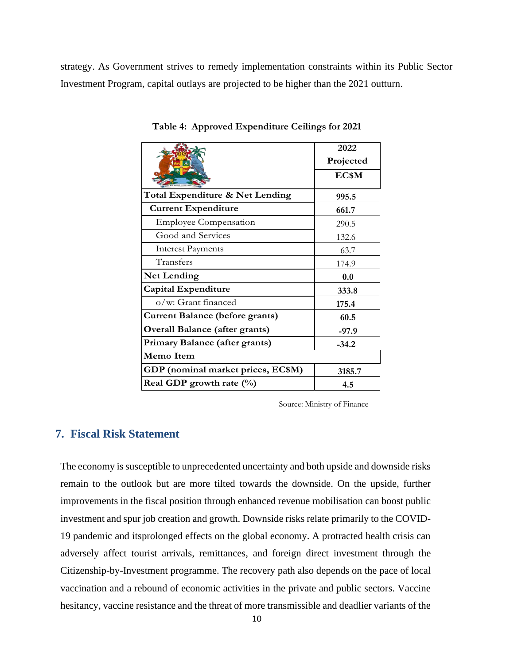strategy. As Government strives to remedy implementation constraints within its Public Sector Investment Program, capital outlays are projected to be higher than the 2021 outturn.

|                                        | 2022      |  |
|----------------------------------------|-----------|--|
|                                        | Projected |  |
|                                        | EC\$M     |  |
| Total Expenditure & Net Lending        | 995.5     |  |
| <b>Current Expenditure</b>             | 661.7     |  |
| <b>Employee Compensation</b>           | 290.5     |  |
| Good and Services                      | 132.6     |  |
| <b>Interest Payments</b>               | 63.7      |  |
| Transfers                              | 174.9     |  |
| <b>Net Lending</b>                     | 0.0       |  |
| <b>Capital Expenditure</b>             | 333.8     |  |
| o/w: Grant financed                    | 175.4     |  |
| <b>Current Balance (before grants)</b> | 60.5      |  |
| <b>Overall Balance (after grants)</b>  | $-97.9$   |  |
| Primary Balance (after grants)         | $-34.2$   |  |
| Memo Item                              |           |  |
| GDP (nominal market prices, EC\$M)     | 3185.7    |  |
| Real GDP growth rate $(\%)$            | 4.5       |  |

**Table 4: Approved Expenditure Ceilings for 2021**

Source: Ministry of Finance

#### <span id="page-11-0"></span>**7. Fiscal Risk Statement**

The economy is susceptible to unprecedented uncertainty and both upside and downside risks remain to the outlook but are more tilted towards the downside. On the upside, further improvements in the fiscal position through enhanced revenue mobilisation can boost public investment and spur job creation and growth. Downside risks relate primarily to the COVID-19 pandemic and itsprolonged effects on the global economy. A protracted health crisis can adversely affect tourist arrivals, remittances, and foreign direct investment through the Citizenship-by-Investment programme. The recovery path also depends on the pace of local vaccination and a rebound of economic activities in the private and public sectors. Vaccine hesitancy, vaccine resistance and the threat of more transmissible and deadlier variants of the